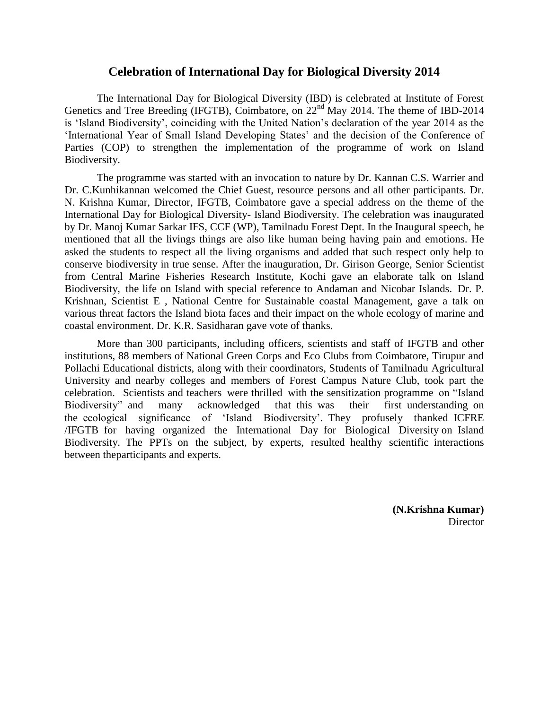## **Celebration of International Day for Biological Diversity 2014**

The International Day for Biological Diversity (IBD) is celebrated at Institute of Forest Genetics and Tree Breeding (IFGTB), Coimbatore, on 22nd May 2014. The theme of IBD-2014 is 'Island Biodiversity', coinciding with the United Nation's declaration of the year 2014 as the "International Year of Small Island Developing States" and the decision of the Conference of Parties (COP) to strengthen the implementation of the programme of work on Island Biodiversity.

The programme was started with an invocation to nature by Dr. Kannan C.S. Warrier and Dr. C.Kunhikannan welcomed the Chief Guest, resource persons and all other participants. Dr. N. Krishna Kumar, Director, IFGTB, Coimbatore gave a special address on the theme of the International Day for Biological Diversity- Island Biodiversity. The celebration was inaugurated by Dr. Manoj Kumar Sarkar IFS, CCF (WP), Tamilnadu Forest Dept. In the Inaugural speech, he mentioned that all the livings things are also like human being having pain and emotions. He asked the students to respect all the living organisms and added that such respect only help to conserve biodiversity in true sense. After the inauguration, Dr. Girison George, Senior Scientist from Central Marine Fisheries Research Institute, Kochi gave an elaborate talk on Island Biodiversity, the life on Island with special reference to Andaman and Nicobar Islands. Dr. P. Krishnan, Scientist E , National Centre for Sustainable coastal Management, gave a talk on various threat factors the Island biota faces and their impact on the whole ecology of marine and coastal environment. Dr. K.R. Sasidharan gave vote of thanks.

More than 300 participants, including officers, scientists and staff of IFGTB and other institutions, 88 members of National Green Corps and Eco Clubs from Coimbatore, Tirupur and Pollachi Educational districts, along with their coordinators, Students of Tamilnadu Agricultural University and nearby colleges and members of Forest Campus Nature Club, took part the celebration. Scientists and teachers were thrilled with the sensitization programme on "Island Biodiversity" and many acknowledged that this was their first understanding on the ecological significance of "Island Biodiversity". They profusely thanked ICFRE /IFGTB for having organized the International Day for Biological Diversity on Island Biodiversity. The PPTs on the subject, by experts, resulted healthy scientific interactions between theparticipants and experts.

> **(N.Krishna Kumar) Director**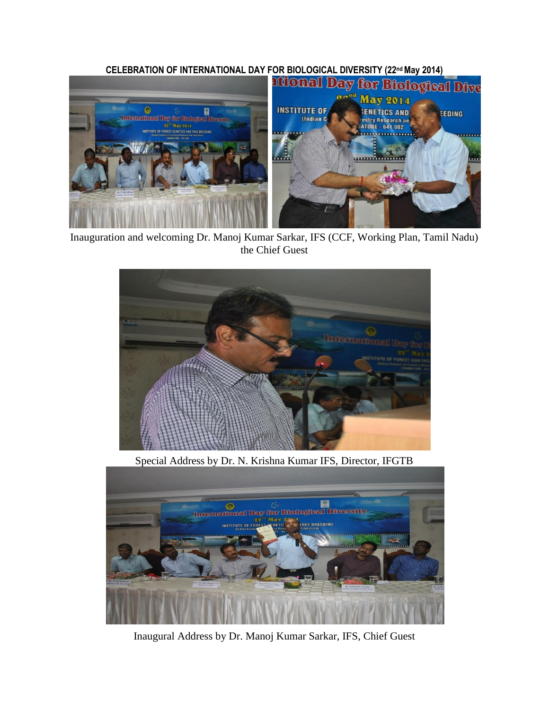

Inauguration and welcoming Dr. Manoj Kumar Sarkar, IFS (CCF, Working Plan, Tamil Nadu) the Chief Guest



Special Address by Dr. N. Krishna Kumar IFS, Director, IFGTB



Inaugural Address by Dr. Manoj Kumar Sarkar, IFS, Chief Guest